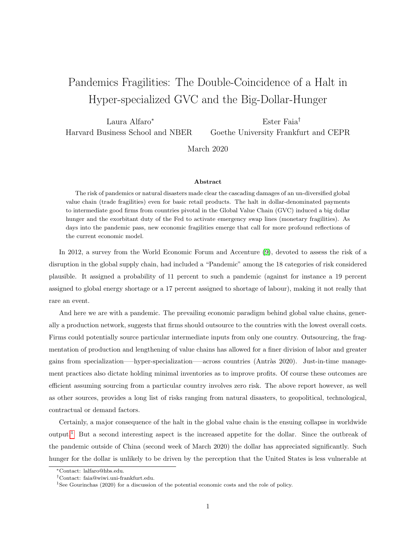## <span id="page-0-0"></span>Pandemics Fragilities: The Double-Coincidence of a Halt in Hyper-specialized GVC and the Big-Dollar-Hunger

Laura Alfaro<sup>∗</sup> Harvard Business School and NBER Ester Faia† Goethe University Frankfurt and CEPR

March 2020

## Abstract

The risk of pandemics or natural disasters made clear the cascading damages of an un-diversified global value chain (trade fragilities) even for basic retail products. The halt in dollar-denominated payments to intermediate good firms from countries pivotal in the Global Value Chain (GVC) induced a big dollar hunger and the exorbitant duty of the Fed to activate emergency swap lines (monetary fragilities). As days into the pandemic pass, new economic fragilities emerge that call for more profound reflections of the current economic model.

In 2012, a survey from the World Economic Forum and Accenture [\(9\)](#page-4-0), devoted to assess the risk of a disruption in the global supply chain, had included a "Pandemic" among the 18 categories of risk considered plausible. It assigned a probability of 11 percent to such a pandemic (against for instance a 19 percent assigned to global energy shortage or a 17 percent assigned to shortage of labour), making it not really that rare an event.

And here we are with a pandemic. The prevailing economic paradigm behind global value chains, generally a production network, suggests that firms should outsource to the countries with the lowest overall costs. Firms could potentially source particular intermediate inputs from only one country. Outsourcing, the fragmentation of production and lengthening of value chains has allowed for a finer division of labor and greater gains from specialization—–hyper-specialization—–across countries (Antràs 2020). Just-in-time management practices also dictate holding minimal inventories as to improve profits. Of course these outcomes are efficient assuming sourcing from a particular country involves zero risk. The above report however, as well as other sources, provides a long list of risks ranging from natural disasters, to geopolitical, technological, contractual or demand factors.

Certainly, a major consequence of the halt in the global value chain is the ensuing collapse in worldwide output.<sup>1</sup> But a second interesting aspect is the increased appetite for the dollar. Since the outbreak of the pandemic outside of China (second week of March 2020) the dollar has appreciated significantly. Such hunger for the dollar is unlikely to be driven by the perception that the United States is less vulnerable at

<sup>∗</sup>Contact: lalfaro@hbs.edu.

<sup>†</sup>Contact: faia@wiwi.uni-frankfurt.edu.

<sup>1</sup>See Gourinchas (2020) for a discussion of the potential economic costs and the role of policy.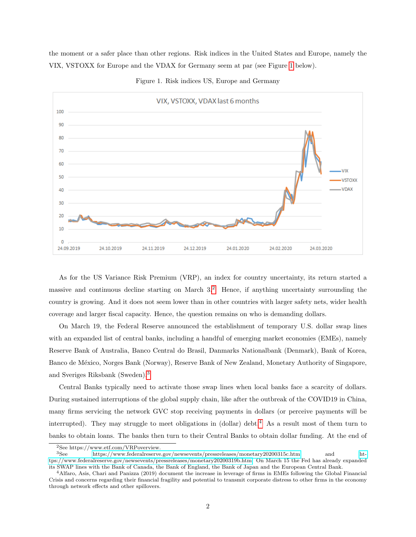the moment or a safer place than other regions. Risk indices in the United States and Europe, namely the VIX, VSTOXX for Europe and the VDAX for Germany seem at par (see Figure [1](#page-1-0) below).

<span id="page-1-0"></span>

Figure 1. Risk indices US, Europe and Germany

As for the US Variance Risk Premium (VRP), an index for country uncertainty, its return started a massive and continuous decline starting on March 3.[2](#page-0-0) Hence, if anything uncertainty surrounding the country is growing. And it does not seem lower than in other countries with larger safety nets, wider health coverage and larger fiscal capacity. Hence, the question remains on who is demanding dollars.

On March 19, the Federal Reserve announced the establishment of temporary U.S. dollar swap lines with an expanded list of central banks, including a handful of emerging market economies (EMEs), namely Reserve Bank of Australia, Banco Central do Brasil, Danmarks Nationalbank (Denmark), Bank of Korea, Banco de México, Norges Bank (Norway), Reserve Bank of New Zealand, Monetary Authority of Singapore, and Sveriges Riksbank (Sweden).[3](#page-0-0)

Central Banks typically need to activate those swap lines when local banks face a scarcity of dollars. During sustained interruptions of the global supply chain, like after the outbreak of the COVID19 in China, many firms servicing the network GVC stop receiving payments in dollars (or perceive payments will be interrupted). They may struggle to meet obligations in (dollar) debt.<sup>[4](#page-0-0)</sup> As a result most of them turn to banks to obtain loans. The banks then turn to their Central Banks to obtain dollar funding. At the end of

 $\begin{array}{lll} \mbox{^2See}\ \text{https://www.etf.com/VRPoverview.}\\ \mbox{^3See}\ \text{https://www.federalreserve.} \end{array}$ 

<sup>3</sup>See<https://www.federalreserve.gov/newsevents/pressreleases/monetary20200315c.htm> and [ht](https://www.federalreserve.gov/newsevents/pressreleases/monetary20200319b.htm)[tps://www.federalreserve.gov/newsevents/pressreleases/monetary20200319b.htm.](https://www.federalreserve.gov/newsevents/pressreleases/monetary20200319b.htm) On March 15 the Fed has already expanded its SWAP lines with the Bank of Canada, the Bank of England, the Bank of Japan and the European Central Bank.

<sup>4</sup>Alfaro, Asis, Chari and Panizza (2019) document the increase in leverage of firms in EMEs following the Global Financial Crisis and concerns regarding their financial fragility and potential to transmit corporate distress to other firms in the economy through network effects and other spillovers.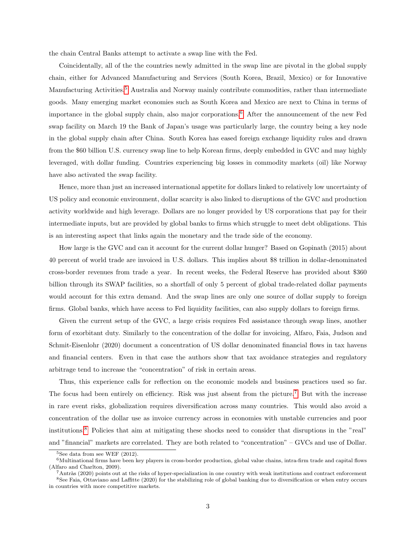the chain Central Banks attempt to activate a swap line with the Fed.

Coincidentally, all of the the countries newly admitted in the swap line are pivotal in the global supply chain, either for Advanced Manufacturing and Services (South Korea, Brazil, Mexico) or for Innovative Manufacturing Activities.[5](#page-0-0) Australia and Norway mainly contribute commodities, rather than intermediate goods. Many emerging market economies such as South Korea and Mexico are next to China in terms of importance in the global supply chain, also major corporations.[6](#page-0-0) After the announcement of the new Fed swap facility on March 19 the Bank of Japan's usage was particularly large, the country being a key node in the global supply chain after China. South Korea has eased foreign exchange liquidity rules and drawn from the \$60 billion U.S. currency swap line to help Korean firms, deeply embedded in GVC and may highly leveraged, with dollar funding. Countries experiencing big losses in commodity markets (oil) like Norway have also activated the swap facility.

Hence, more than just an increased international appetite for dollars linked to relatively low uncertainty of US policy and economic environment, dollar scarcity is also linked to disruptions of the GVC and production activity worldwide and high leverage. Dollars are no longer provided by US corporations that pay for their intermediate inputs, but are provided by global banks to firms which struggle to meet debt obligations. This is an interesting aspect that links again the monetary and the trade side of the economy.

How large is the GVC and can it account for the current dollar hunger? Based on Gopinath (2015) about 40 percent of world trade are invoiced in U.S. dollars. This implies about \$8 trillion in dollar-denominated cross-border revenues from trade a year. In recent weeks, the Federal Reserve has provided about \$360 billion through its SWAP facilities, so a shortfall of only 5 percent of global trade-related dollar payments would account for this extra demand. And the swap lines are only one source of dollar supply to foreign firms. Global banks, which have access to Fed liquidity facilities, can also supply dollars to foreign firms.

Given the current setup of the GVC, a large crisis requires Fed assistance through swap lines, another form of exorbitant duty. Similarly to the concentration of the dollar for invoicing, Alfaro, Faia, Judson and Schmit-Eisenlohr (2020) document a concentration of US dollar denominated financial flows in tax havens and financial centers. Even in that case the authors show that tax avoidance strategies and regulatory arbitrage tend to increase the "concentration" of risk in certain areas.

Thus, this experience calls for reflection on the economic models and business practices used so far. The focus had been entirely on efficiency. Risk was just absent from the picture.<sup>[7](#page-0-0)</sup> But with the increase in rare event risks, globalization requires diversification across many countries. This would also avoid a concentration of the dollar use as invoice currency across in economies with unstable currencies and poor institutions.[8](#page-0-0) Policies that aim at mitigating these shocks need to consider that disruptions in the "real" and "financial" markets are correlated. They are both related to "concentration" – GVCs and use of Dollar.

 $5$ See data from see WEF  $(2012)$ .

 $6$ Multinational firms have been key players in cross-border production, global value chains, intra-firm trade and capital flows (Alfaro and Charlton, 2009).

 $7$ Antràs (2020) points out at the risks of hyper-specialization in one country with weak institutions and contract enforcement  $8$ See Faia, Ottaviano and Laffitte (2020) for the stabilizing role of global banking due to diversification or when entry occurs in countries with more competitive markets.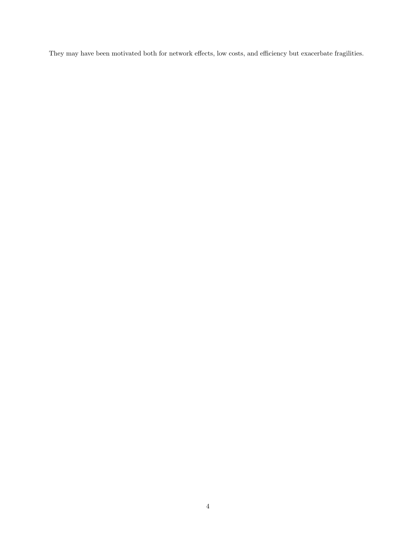They may have been motivated both for network effects, low costs, and efficiency but exacerbate fragilities.